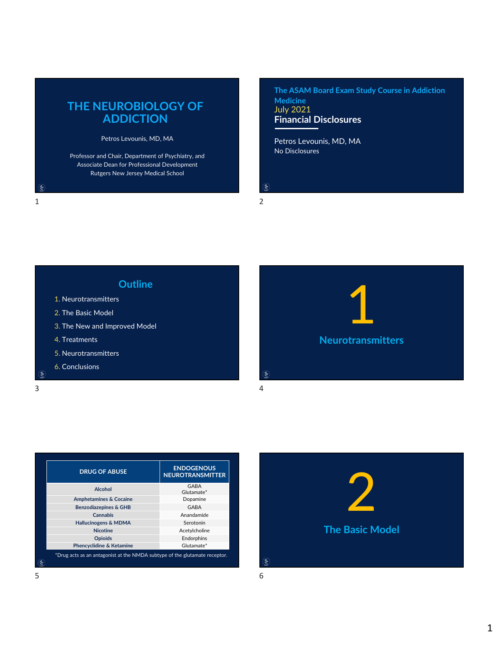## **THE NEUROBIOLOGY OF ADDICTION**

Petros Levounis, MD, MA

Professor and Chair, Department of Psychiatry, and Associate Dean for Professional Development Rutgers New Jersey Medical School

**Financial Disclosures The ASAM Board Exam Study Course in Addiction Medicine** July 2021

No Disclosures Petros Levounis, MD, MA

 $\mathring{\mathcal{S}}$ 

## $1$  2





| <b>DRUG OF ABUSE</b>                                                       | <b>ENDOGENOUS</b><br><b>NEUROTRANSMITTER</b> |
|----------------------------------------------------------------------------|----------------------------------------------|
| <b>Alcohol</b>                                                             | GABA<br>Glutamate*                           |
| <b>Amphetamines &amp; Cocaine</b>                                          | Dopamine                                     |
| <b>Benzodiazepines &amp; GHB</b>                                           | GABA                                         |
| <b>Cannabis</b>                                                            | Anandamide                                   |
| <b>Hallucinogens &amp; MDMA</b>                                            | Serotonin                                    |
| <b>Nicotine</b>                                                            | Acetylcholine                                |
| <b>Opioids</b>                                                             | Endorphins                                   |
| Phencyclidine & Ketamine                                                   | Glutamate*                                   |
| *Drug acts as an antagonist at the NMDA subtype of the glutamate receptor. |                                              |

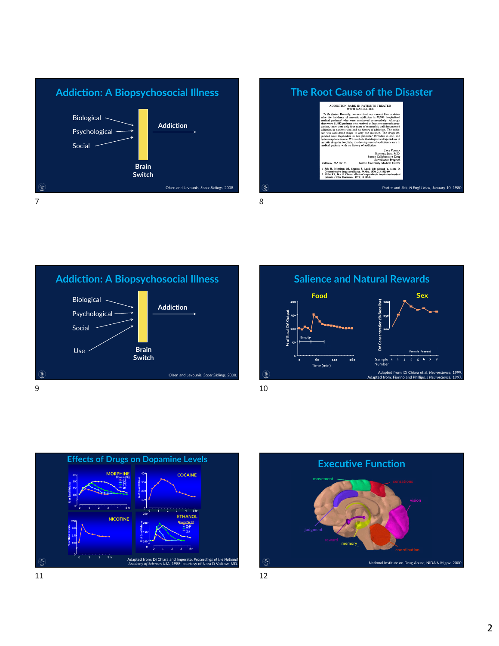











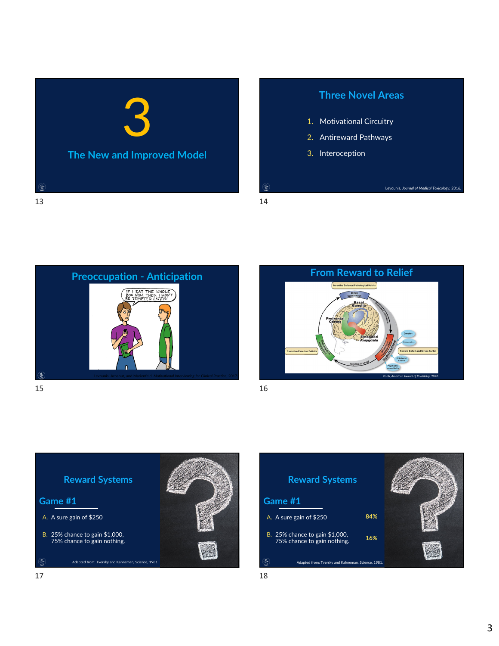

## **Three Novel Areas**

Levounis, *Journal of Medical Toxicology*, 2016.

- 1. Motivational Circuitry
- 2. Antireward Pathways
- 3. Interoception

e.





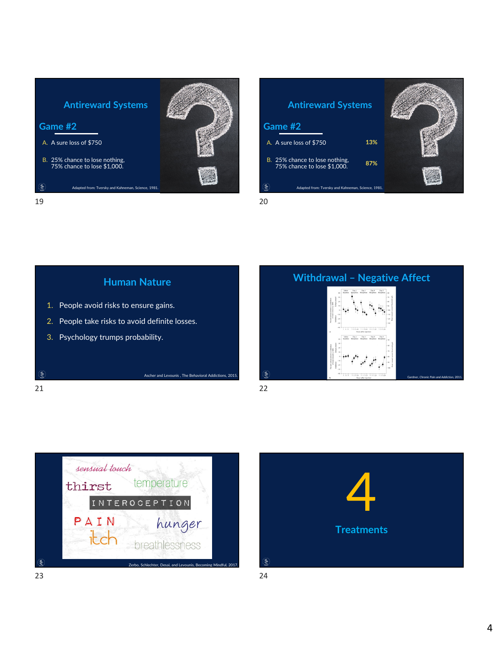









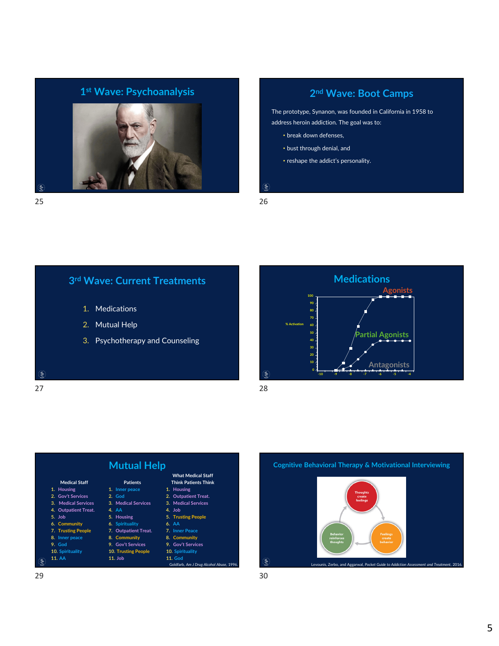

## **2nd Wave: Boot Camps**

The prototype, Synanon, was founded in California in 1958 to address heroin addiction. The goal was to:

- break down defenses,
- bust through denial, and
- reshape the addict's personality.
- $\mathring{\mathcal{S}}$

**3rd Wave: Current Treatments**

- 1. Medications
- 2. Mutual Help
- 3. Psychotherapy and Counseling

 $\mathcal{E}$ 







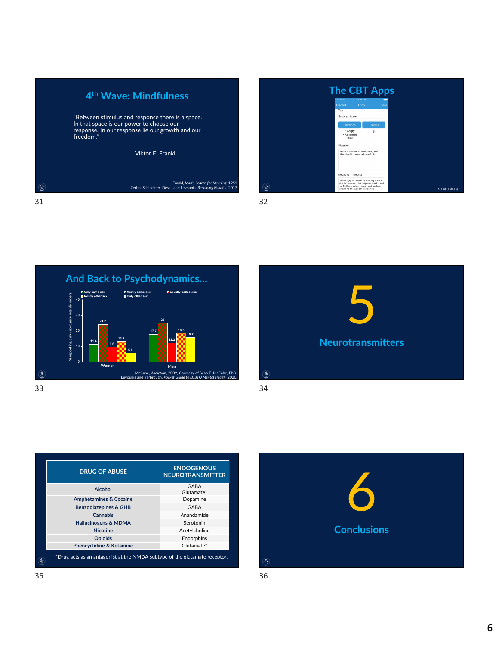